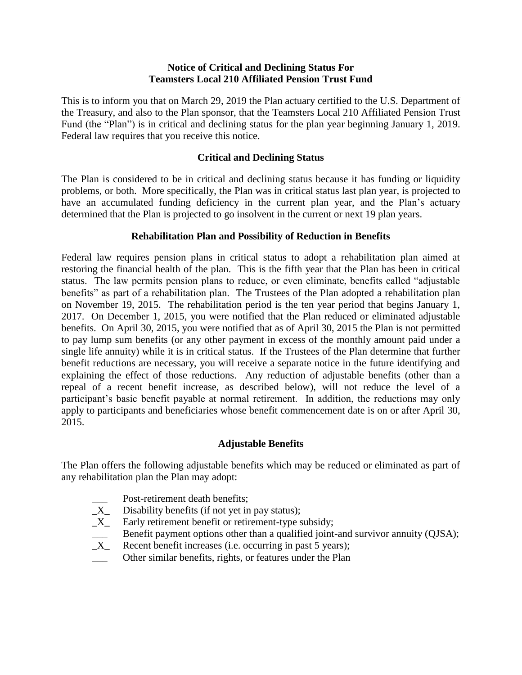#### **Notice of Critical and Declining Status For Teamsters Local 210 Affiliated Pension Trust Fund**

This is to inform you that on March 29, 2019 the Plan actuary certified to the U.S. Department of the Treasury, and also to the Plan sponsor, that the Teamsters Local 210 Affiliated Pension Trust Fund (the "Plan") is in critical and declining status for the plan year beginning January 1, 2019. Federal law requires that you receive this notice.

## **Critical and Declining Status**

The Plan is considered to be in critical and declining status because it has funding or liquidity problems, or both. More specifically, the Plan was in critical status last plan year, is projected to have an accumulated funding deficiency in the current plan year, and the Plan's actuary determined that the Plan is projected to go insolvent in the current or next 19 plan years.

## **Rehabilitation Plan and Possibility of Reduction in Benefits**

Federal law requires pension plans in critical status to adopt a rehabilitation plan aimed at restoring the financial health of the plan. This is the fifth year that the Plan has been in critical status. The law permits pension plans to reduce, or even eliminate, benefits called "adjustable benefits" as part of a rehabilitation plan. The Trustees of the Plan adopted a rehabilitation plan on November 19, 2015. The rehabilitation period is the ten year period that begins January 1, 2017. On December 1, 2015, you were notified that the Plan reduced or eliminated adjustable benefits. On April 30, 2015, you were notified that as of April 30, 2015 the Plan is not permitted to pay lump sum benefits (or any other payment in excess of the monthly amount paid under a single life annuity) while it is in critical status. If the Trustees of the Plan determine that further benefit reductions are necessary, you will receive a separate notice in the future identifying and explaining the effect of those reductions. Any reduction of adjustable benefits (other than a repeal of a recent benefit increase, as described below), will not reduce the level of a participant's basic benefit payable at normal retirement. In addition, the reductions may only apply to participants and beneficiaries whose benefit commencement date is on or after April 30, 2015.

# **Adjustable Benefits**

The Plan offers the following adjustable benefits which may be reduced or eliminated as part of any rehabilitation plan the Plan may adopt:

- Post-retirement death benefits;
- $X_$  Disability benefits (if not yet in pay status);<br> $X_$  Early retirement benefit or retirement-type s
- Early retirement benefit or retirement-type subsidy;
- **EXUALIA** Benefit payment options other than a qualified joint-and survivor annuity (QJSA);<br> $X$  Recent benefit increases (i.e. occurring in past 5 years);
- Recent benefit increases (i.e. occurring in past 5 years);
- Other similar benefits, rights, or features under the Plan